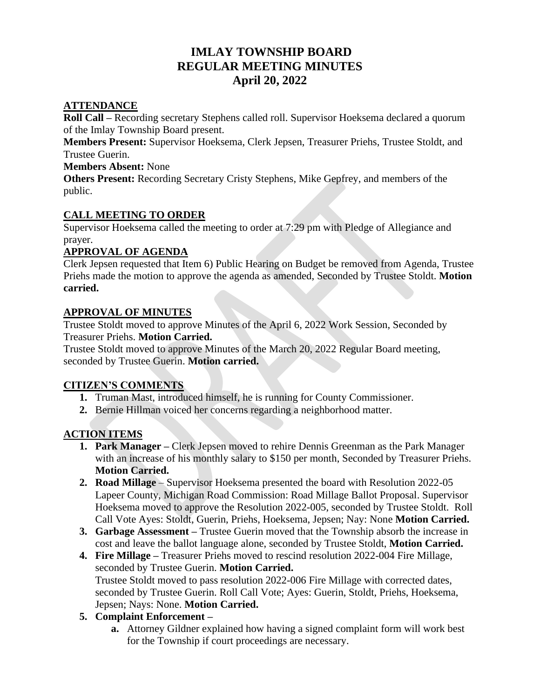# **IMLAY TOWNSHIP BOARD REGULAR MEETING MINUTES April 20, 2022**

#### **ATTENDANCE**

**Roll Call –** Recording secretary Stephens called roll. Supervisor Hoeksema declared a quorum of the Imlay Township Board present.

**Members Present:** Supervisor Hoeksema, Clerk Jepsen, Treasurer Priehs, Trustee Stoldt, and Trustee Guerin.

#### **Members Absent:** None

**Others Present:** Recording Secretary Cristy Stephens, Mike Gepfrey, and members of the public.

#### **CALL MEETING TO ORDER**

Supervisor Hoeksema called the meeting to order at 7:29 pm with Pledge of Allegiance and prayer.

#### **APPROVAL OF AGENDA**

Clerk Jepsen requested that Item 6) Public Hearing on Budget be removed from Agenda, Trustee Priehs made the motion to approve the agenda as amended, Seconded by Trustee Stoldt. **Motion carried.**

#### **APPROVAL OF MINUTES**

Trustee Stoldt moved to approve Minutes of the April 6, 2022 Work Session, Seconded by Treasurer Priehs. **Motion Carried.**

Trustee Stoldt moved to approve Minutes of the March 20, 2022 Regular Board meeting, seconded by Trustee Guerin. **Motion carried.**

## **CITIZEN'S COMMENTS**

- **1.** Truman Mast, introduced himself, he is running for County Commissioner.
- **2.** Bernie Hillman voiced her concerns regarding a neighborhood matter.

## **ACTION ITEMS**

- **1. Park Manager –** Clerk Jepsen moved to rehire Dennis Greenman as the Park Manager with an increase of his monthly salary to \$150 per month, Seconded by Treasurer Priehs. **Motion Carried.**
- **2. Road Millage**  Supervisor Hoeksema presented the board with Resolution 2022-05 Lapeer County, Michigan Road Commission: Road Millage Ballot Proposal. Supervisor Hoeksema moved to approve the Resolution 2022-005, seconded by Trustee Stoldt. Roll Call Vote Ayes: Stoldt, Guerin, Priehs, Hoeksema, Jepsen; Nay: None **Motion Carried.**
- **3. Garbage Assessment –** Trustee Guerin moved that the Township absorb the increase in cost and leave the ballot language alone, seconded by Trustee Stoldt, **Motion Carried.**
- **4. Fire Millage –** Treasurer Priehs moved to rescind resolution 2022-004 Fire Millage, seconded by Trustee Guerin. **Motion Carried.** Trustee Stoldt moved to pass resolution 2022-006 Fire Millage with corrected dates, seconded by Trustee Guerin. Roll Call Vote; Ayes: Guerin, Stoldt, Priehs, Hoeksema, Jepsen; Nays: None. **Motion Carried.**

## **5. Complaint Enforcement –**

**a.** Attorney Gildner explained how having a signed complaint form will work best for the Township if court proceedings are necessary.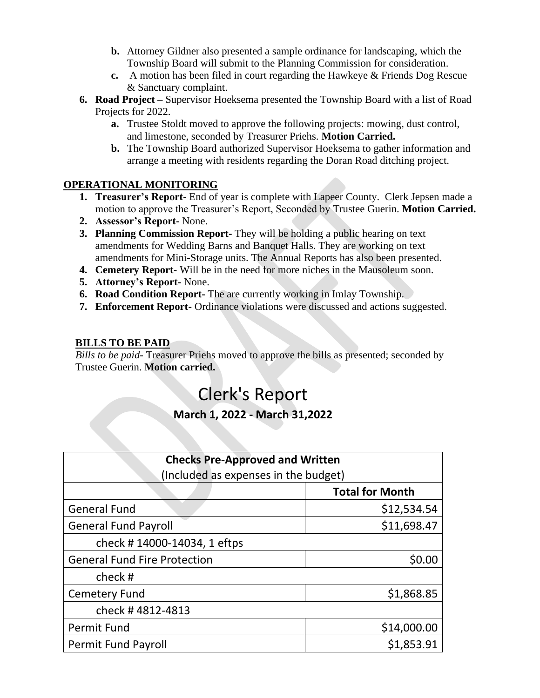- **b.** Attorney Gildner also presented a sample ordinance for landscaping, which the Township Board will submit to the Planning Commission for consideration.
- **c.** A motion has been filed in court regarding the Hawkeye & Friends Dog Rescue & Sanctuary complaint.
- **6. Road Project –** Supervisor Hoeksema presented the Township Board with a list of Road Projects for 2022.
	- **a.** Trustee Stoldt moved to approve the following projects: mowing, dust control, and limestone, seconded by Treasurer Priehs. **Motion Carried.**
	- **b.** The Township Board authorized Supervisor Hoeksema to gather information and arrange a meeting with residents regarding the Doran Road ditching project.

## **OPERATIONAL MONITORING**

- **1. Treasurer's Report-** End of year is complete with Lapeer County. Clerk Jepsen made a motion to approve the Treasurer's Report, Seconded by Trustee Guerin. **Motion Carried.**
- **2. Assessor's Report-** None.
- **3. Planning Commission Report-** They will be holding a public hearing on text amendments for Wedding Barns and Banquet Halls. They are working on text amendments for Mini-Storage units. The Annual Reports has also been presented.
- **4. Cemetery Report-** Will be in the need for more niches in the Mausoleum soon.
- **5. Attorney's Report-** None.
- **6. Road Condition Report-** The are currently working in Imlay Township.
- **7. Enforcement Report-** Ordinance violations were discussed and actions suggested.

#### **BILLS TO BE PAID**

*Bills to be paid-* Treasurer Priehs moved to approve the bills as presented; seconded by Trustee Guerin. **Motion carried.**

# Clerk's Report

# **March 1, 2022 - March 31,2022**

| <b>Checks Pre-Approved and Written</b> |                        |
|----------------------------------------|------------------------|
| (Included as expenses in the budget)   |                        |
|                                        | <b>Total for Month</b> |
| <b>General Fund</b>                    | \$12,534.54            |
| <b>General Fund Payroll</b>            | \$11,698.47            |
| check #14000-14034, 1 eftps            |                        |
| <b>General Fund Fire Protection</b>    | \$0.00                 |
| check#                                 |                        |
| Cemetery Fund                          | \$1,868.85             |
| check #4812-4813                       |                        |
| <b>Permit Fund</b>                     | \$14,000.00            |
| <b>Permit Fund Payroll</b>             | \$1,853.91             |